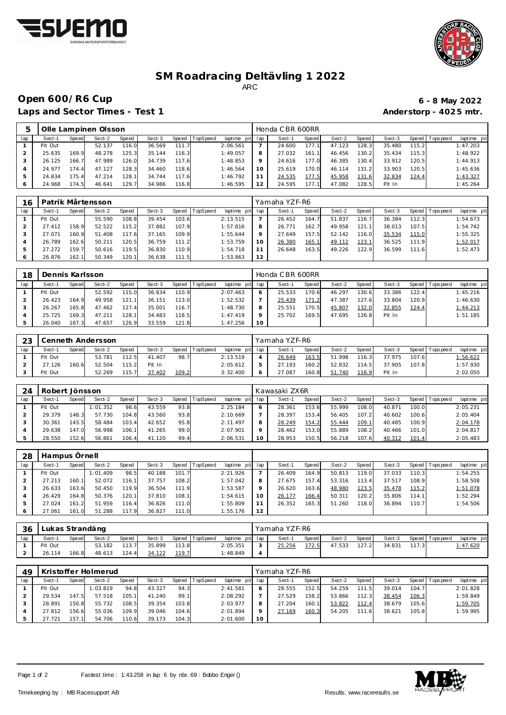



## **SM Roadracing Deltävling 1 2022** ARC

## **Open 600/R6 Cup 6 - 8 May 2022**

Laps and Sector Times - Test 1 **Anderstorp - 4025 mtr.** 

| 5   |         |       | Olle Lampinen Olsson |       |        |       |                |                 |         | Honda CBR 600RR |       |        |       |        |       |                   |            |
|-----|---------|-------|----------------------|-------|--------|-------|----------------|-----------------|---------|-----------------|-------|--------|-------|--------|-------|-------------------|------------|
| lap | Sect-1  | Speed | Sect-2               | Speed | Sect-3 |       | Speed TopSpeed | laptime pit lap |         | Sect-1          | Speed | Sect-2 | Speed | Sect-3 |       | Speed   Tops peed | laptime pi |
|     | Pit Out |       | 52.137               | 116.0 | 36.569 | 111.7 |                | 2:06.561        |         | 24.600          | 177.1 | 47.123 | 128.3 | 35.480 | 115.2 |                   | 1:47.203   |
|     | 25.635  | 169.9 | 48.278               | 125.3 | 35.144 | 116.3 |                | 1:49.057        | 8       | 27.032          | 161.1 | 46.456 | 130.2 | 35.434 | 115.3 |                   | 1:48.922   |
|     | 26.125  | 166.7 | 47.989               | 126.0 | 34.739 | 117.6 |                | 1:48.853        | $\circ$ | 24.616          | 177.0 | 46.385 | 130.4 | 33.912 | 120.5 |                   | 1:44.913   |
|     | 24.977  | 174.4 | 47.127               | 128.3 | 34.460 | 118.6 |                | 1:46.564        | 10      | 25.619          | 170.0 | 46.114 | 131.2 | 33.903 | 120.5 |                   | 1:45.636   |
| 5.  | 24.834  | 175.4 | 47.214               | 128.1 | 34.744 | 117.6 |                | 1:46.792        |         | 24.535          | 177.5 | 45.958 | 131.6 | 32.834 | 124.4 |                   | 1:43.327   |
| 6   | 24.968  | 174.5 | 46.641               | 129.7 | 34.986 | 116.8 |                | 1:46.595        | 12      | 24.595          | 177.1 | 47.082 | 128.5 | Pit In |       |                   | 1:45.264   |

| 16  |         |       | Patrik Mårtensson |       |        |       |          |             |     | Yamaha YZF-R6 |               |        |       |        |        |                  |             |
|-----|---------|-------|-------------------|-------|--------|-------|----------|-------------|-----|---------------|---------------|--------|-------|--------|--------|------------------|-------------|
| lap | Sect-1  | Speed | Sect-2            | Speed | Sect-3 | Speed | TopSpeed | laptime pit | lap | Sect-1        | Speed         | Sect-2 | Speed | Sect-3 | Speed  | <b>Tops peed</b> | laptime pit |
|     | Pit Out |       | 55.590            | 108.8 | 39.454 | 103.6 |          | 2:13.515    |     | 26.452        | 164.          | 51.837 | 116   | 36.384 | 112.31 |                  | 1:54.673    |
|     | 27.412  | 158.9 | 52.522            | 115.2 | 37.882 | 107.9 |          | 1:57.816    | 8   | 26.771        | 162.7         | 49.958 | 121   | 38.013 | 107.5  |                  | 1:54.742    |
|     | 27.071  | 160.9 | 51.408            | 117.6 | 37.165 | 109.9 |          | 1:55.644    | 9   | 27.649        | 157.5         | 52.142 | 116.0 | 35.534 | 115.0  |                  | 1:55.325    |
|     | 26.789  | 162.6 | 50.211            | 120.5 | 36.759 | 111.2 |          | 1:53.759    | 10  | 26.380        | <u> 165.1</u> | 49.112 | 123.1 | 36.525 | 111.9  |                  | 1:52.017    |
| 5   | 27.272  | 159.7 | 50.616            | 119.5 | 36.830 | 110.9 |          | 1:54.718    | 11  | 26.648        | 163.5         | 49.226 | 122.9 | 36.599 | 111.6  |                  | 1:52.473    |
| Ô   | 26.876  | 162.1 | 50.349            | 120.1 | 36.638 | 111.5 |          | 1:53.863    | 12  |               |               |        |       |        |        |                  |             |

| 18  | Dennis Karlsson |       |        |       |        |           |                 |                 |    | Honda CBR 600RR |       |        |       |        |       |                 |             |
|-----|-----------------|-------|--------|-------|--------|-----------|-----------------|-----------------|----|-----------------|-------|--------|-------|--------|-------|-----------------|-------------|
| lap | Sect-1          | Speed | Sect-2 | Speed | Sect-3 | Speed   T | <b>TopSpeed</b> | laptime pit lap |    | Sect-1          | Speed | Sect-2 | Speed | Sect-3 |       | Speed Tops peed | laptime pit |
|     | Pit Out         |       | 52.592 | 115.0 | 36.834 | 110.9     |                 | 2:07.463        |    | 25.533          | 170.6 | 46.297 | 130.6 | 33.386 | 122.4 |                 | 1:45.216    |
|     | 26.423          | 164.9 | 49.958 | 121.1 | 36.151 | 113.0     |                 | 1:52.532        |    | 25.439          | 171.2 | 47.387 | 127.6 | 33.804 | 120.9 |                 | 1:46.630    |
|     | 26.267          | 165.8 | 47.462 | 127.4 | 35.001 | 116.7     |                 | 1:48.730        |    | 25.551          | 170.5 | 45.807 | 132.0 | 32.855 | 124.4 |                 | 1:44.213    |
|     | 25.725          | 169.3 | 47.211 | 128.1 | 34.483 | 118.5     |                 | 1:47.419        |    | 25.702          | 169.5 | 47.695 | 126.8 | Pit In |       |                 | 1:51.185    |
|     | 26.040          | 167.3 | 47.657 | 126.9 | 33.559 | 121.8     |                 | 1:47.256        | 10 |                 |       |        |       |        |       |                 |             |

| 23  |         |       | Cenneth Andersson |       |        |       |                |                 | Yamaha YZF-R6 |       |        |        |        |       |                   |                 |
|-----|---------|-------|-------------------|-------|--------|-------|----------------|-----------------|---------------|-------|--------|--------|--------|-------|-------------------|-----------------|
| lap | Sect-1  | Speed | Sect-2            | Speed | Sect-3 |       | Speed TopSpeed | laptime pit lap | Sect-1        | Speed | Sect-2 | Speed  | Sect-3 |       | Speed   Tops peed | laptime pit     |
|     | Pit Out |       | 53.781            | 112.5 | 41.407 | 98.7  |                | 2:13.519        | 26.649        | 163.5 | 51.998 | 116.3  | 37.975 | 107.6 |                   | <u>1:56.622</u> |
|     | 27.126  | 160.6 | 52.504            | 115.2 | Pit In |       |                | 2:05.612        | 27.193        | 160.2 | 52.832 | 114.51 | 37.905 | 107.8 |                   | 1:57.930        |
|     | Pit Out |       | 52.269            | 115.7 | 37.402 | 109.2 |                | 3:32.400        | 27.087        | 160.8 | 51.740 | 116.9  | Pit In |       |                   | 2:02.050        |

| 24  | Robert Jönsson |       |          |       |        |       |          |          |          | Kawasaki ZX6R |                    |        |       |        |       |                 |             |
|-----|----------------|-------|----------|-------|--------|-------|----------|----------|----------|---------------|--------------------|--------|-------|--------|-------|-----------------|-------------|
| lap | Sect-1         | Speed | Sect-2   | Speed | Sect-3 | Speed | TopSpeed | laptime  | pit lap  | Sect-1        | Speed              | Sect-2 | Speed | Sect-3 |       | Speed Tops peed | laptime pit |
|     | Pit Out        |       | 1:01.352 | 98.6  | 43.559 | 93.8  |          | 2:25.184 |          | 28.361        | 153.6              | 55.999 | 108.0 | 40.871 | 100.0 |                 | 2:05.231    |
|     | 29.379         | 148.3 | 57.730   | 104.8 | 43.560 | 93.8  |          | 2:10.669 |          | 28.397        | 153.4              | 56.405 | 107.2 | 40.602 | 100.6 |                 | 2:05.404    |
|     | 30.361         | 143.5 | 58.484   | 103.4 | 42.652 | 95.8  |          | 2:11.497 |          | 28.249        | 154.2              | 55.444 | 109.1 | 40.485 | 100.9 |                 | 2:04.178    |
|     | 29.638         | 147.0 | 56.998   | 106.1 | 41.265 | 99.0  |          | 2:07.901 | $\Omega$ | 28.462        | 153.0              | 55.889 | 108.2 | 40.466 | 101.0 |                 | 2:04.817    |
|     | 28.550         | 152.6 | 56.861   | 106.4 | 41.120 | 99.4  |          | 2:06.531 | 10       | 28.953        | 150.5 <sub>1</sub> | 56.218 | 107.6 | 40.312 | 101.4 |                 | 2:05.483    |

| 28  | Hampus Ornell |       |          |       |        |       |          |                 |         |        |       |        |       |        |       |                 |             |
|-----|---------------|-------|----------|-------|--------|-------|----------|-----------------|---------|--------|-------|--------|-------|--------|-------|-----------------|-------------|
| lap | Sect-1        | Speed | Sect-2   | Speed | Sect-3 | Speed | TopSpeed | laptime pit lap |         | Sect-1 | Speed | Sect-2 | Speed | Sect-3 |       | Speed Tops peed | laptime pit |
|     | Pit Out       |       | 1:01.409 | 98.5  | 40.188 | 101.7 |          | 2:21.926        |         | 26.409 | 164.9 | 50.813 | 119.0 | 37.033 | 110.3 |                 | 1:54.255    |
|     | 27.213        | 160.1 | 52.072   | 116.1 | 37.757 | 108.2 |          | 1:57.042        | 8       | 27.675 | 157.4 | 53.316 | 113.4 | 37.517 | 108.9 |                 | 1:58.508    |
|     | 26.633        | 163.6 | 50.450   | 119.9 | 36.504 | 111.9 |          | 1:53.587        | $\circ$ | 26.620 | 163.6 | 48.980 | 123.5 | 35.478 | 115.2 |                 | 1:51.078    |
|     | 26.429        | 164.8 | 50.376   | 120.1 | 37.810 | 108.1 |          | 1:54.615        | 10      | 26.177 | 166.4 | 50.311 | 120.2 | 35.806 | 114.1 |                 | 1:52.294    |
|     | 27.024        | 161.2 | 51.959   | 116.4 | 36.826 | 111.0 |          | 1:55.809        | 11      | 26.352 | 165.3 | 51.260 | 118.0 | 36.894 | 110.7 |                 | 1:54.506    |
|     | 27.061        | 161.0 | 51.288   | 117.9 | 36.827 | 111.0 |          | 1:55.176        | 12      |        |       |        |       |        |       |                 |             |

| 36  | Lukas Strandäng |       |        |       |        |       |          |                 | Yamaha YZF-R6 |        |        |       |        |       |                   |             |
|-----|-----------------|-------|--------|-------|--------|-------|----------|-----------------|---------------|--------|--------|-------|--------|-------|-------------------|-------------|
| lap | Sect-1          | Speed | Sect-2 | Speed | Sect-3 | Speed | TopSpeed | laptime pit lap | Sect-1        | Speed  | Sect-2 | Speed | Sect-3 |       | Speed   Tops peed | laptime pit |
|     | Pit Out         |       | 53.182 | 113.7 | 35.899 | 113.8 |          | 2:05.351        | 25.256        | 1,72.5 | 47.533 | 127.2 | 34.831 | 117.3 |                   | 1:47.620    |
|     | 26.114          | 166.8 | 48.613 | 124.4 | 34.122 | 119.7 |          | I: 48.849       |               |        |        |       |        |       |                   |             |

| 49  |         |       | Kristoffer Holmerud |       |        |       |                |             |     | Yamaha YZF-R6 |              |        |        |        |       |                  |             |
|-----|---------|-------|---------------------|-------|--------|-------|----------------|-------------|-----|---------------|--------------|--------|--------|--------|-------|------------------|-------------|
| lap | Sect-1  | Speed | Sect-2              | Speed | Sect-3 |       | Speed TopSpeed | laptime pit | lap | Sect-1        | <b>Speed</b> | Sect-2 | Speed  | Sect-3 | Speed | <b>Tops peed</b> | laptime pit |
|     | Pit Out |       | 1:03.819            | 94.8  | 43.327 | 94.3  |                | 2: 41.581   | 6   | 28.555        | 152.5        | 54.259 | 111.51 | 39.014 | 104.7 |                  | 2:01.828    |
|     | 29.534  | 147.5 | 57.518              | 105.1 | 41.240 | 99.1  |                | 2:08.292    |     | 27.529        | 158.2        | 53.866 | 112.3  | 38.454 | 106.3 |                  | 1:59.849    |
|     | 28.891  | 150.8 | 55.732              | 108.5 | 39.354 | 103.8 |                | 2:03.977    | 8   | 27.204        | 160.1        | 53.822 | 112.4  | 38.679 | 105.6 |                  | 1:59.705    |
|     | 27.812  | 156.6 | 55.036              | 109.9 | 39.046 | 104.6 |                | 2:01.894    | o   | 27.169        | 160.3        | 54.205 | 111.6  | 38.621 | 105.8 |                  | 1:59.995    |
|     | 27.721  | 157.1 | 54.706              | 110.6 | 39.173 | 104.3 |                | 2:01.600    | 10  |               |              |        |        |        |       |                  |             |